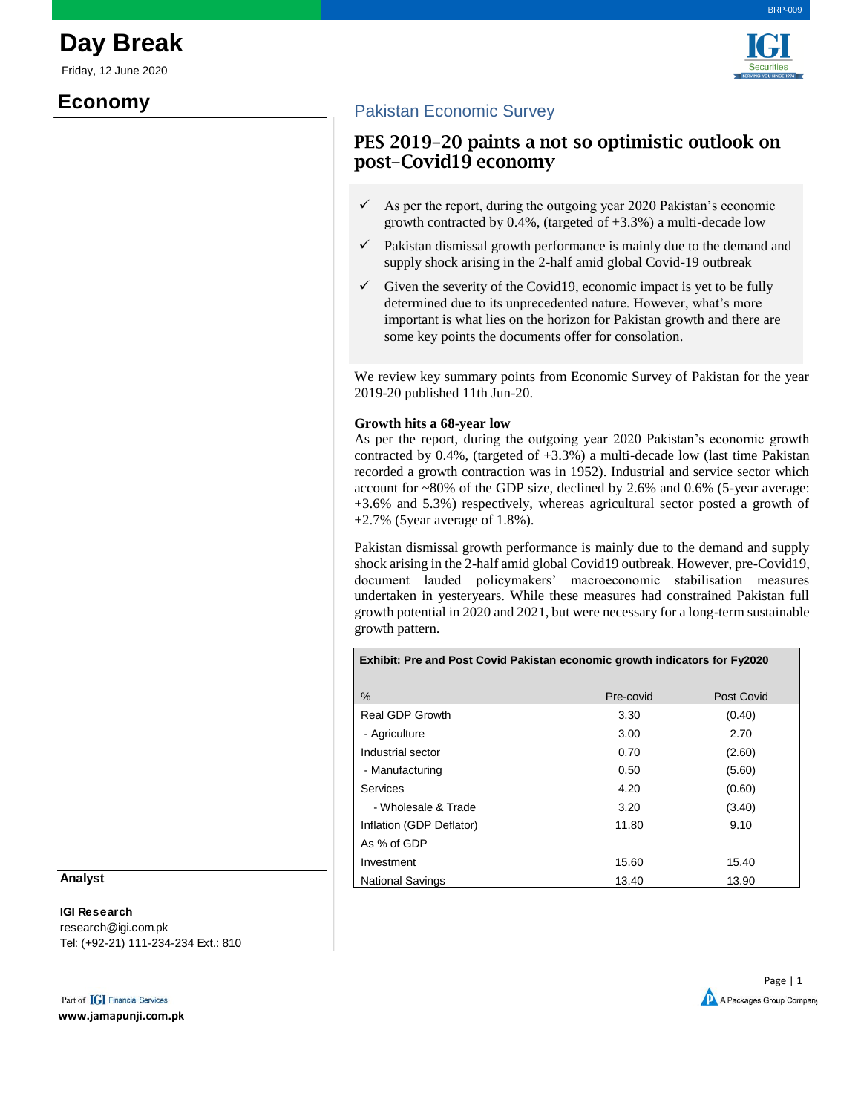Friday, 12 June 2020

# **Economy**





### Pakistan Economic Survey

# PES 2019-20 paints a not so optimistic outlook on post-Covid19 economy

- $\checkmark$  As per the report, during the outgoing year 2020 Pakistan's economic growth contracted by  $0.4\%$ , (targeted of  $+3.3\%$ ) a multi-decade low
- $\checkmark$  Pakistan dismissal growth performance is mainly due to the demand and supply shock arising in the 2-half amid global Covid-19 outbreak
- $\checkmark$  Given the severity of the Covid19, economic impact is yet to be fully determined due to its unprecedented nature. However, what's more important is what lies on the horizon for Pakistan growth and there are some key points the documents offer for consolation.

We review key summary points from Economic Survey of Pakistan for the year 2019-20 published 11th Jun-20.

### **Growth hits a 68-year low**

As per the report, during the outgoing year 2020 Pakistan's economic growth contracted by  $0.4\%$ , (targeted of  $+3.3\%$ ) a multi-decade low (last time Pakistan recorded a growth contraction was in 1952). Industrial and service sector which account for ~80% of the GDP size, declined by 2.6% and 0.6% (5-year average: +3.6% and 5.3%) respectively, whereas agricultural sector posted a growth of  $+2.7\%$  (5 year average of 1.8%).

Pakistan dismissal growth performance is mainly due to the demand and supply shock arising in the 2-half amid global Covid19 outbreak. However, pre-Covid19, document lauded policymakers' macroeconomic stabilisation measures undertaken in yesteryears. While these measures had constrained Pakistan full growth potential in 2020 and 2021, but were necessary for a long-term sustainable growth pattern.

| Exhibit: Pre and Post Covid Pakistan economic growth indicators for Fy2020 |           |            |  |  |  |  |
|----------------------------------------------------------------------------|-----------|------------|--|--|--|--|
| $\%$                                                                       | Pre-covid | Post Covid |  |  |  |  |
| Real GDP Growth                                                            | 3.30      | (0.40)     |  |  |  |  |
| - Agriculture                                                              | 3.00      | 2.70       |  |  |  |  |
| Industrial sector                                                          | 0.70      | (2.60)     |  |  |  |  |
| - Manufacturing                                                            | 0.50      | (5.60)     |  |  |  |  |
| Services                                                                   | 4.20      | (0.60)     |  |  |  |  |
| - Wholesale & Trade                                                        | 3.20      | (3.40)     |  |  |  |  |
| Inflation (GDP Deflator)                                                   | 11.80     | 9.10       |  |  |  |  |
| As % of GDP                                                                |           |            |  |  |  |  |
| Investment                                                                 | 15.60     | 15.40      |  |  |  |  |
| <b>National Savings</b>                                                    | 13.40     | 13.90      |  |  |  |  |

#### **Analyst**

## **IGI Research**

research@igi.com.pk Tel: (+92-21) 111-234-234 Ext.: 810

Part of **IGI** Financial Services **www.jamapunji.com.pk**

Page | 1 A Packages Group Company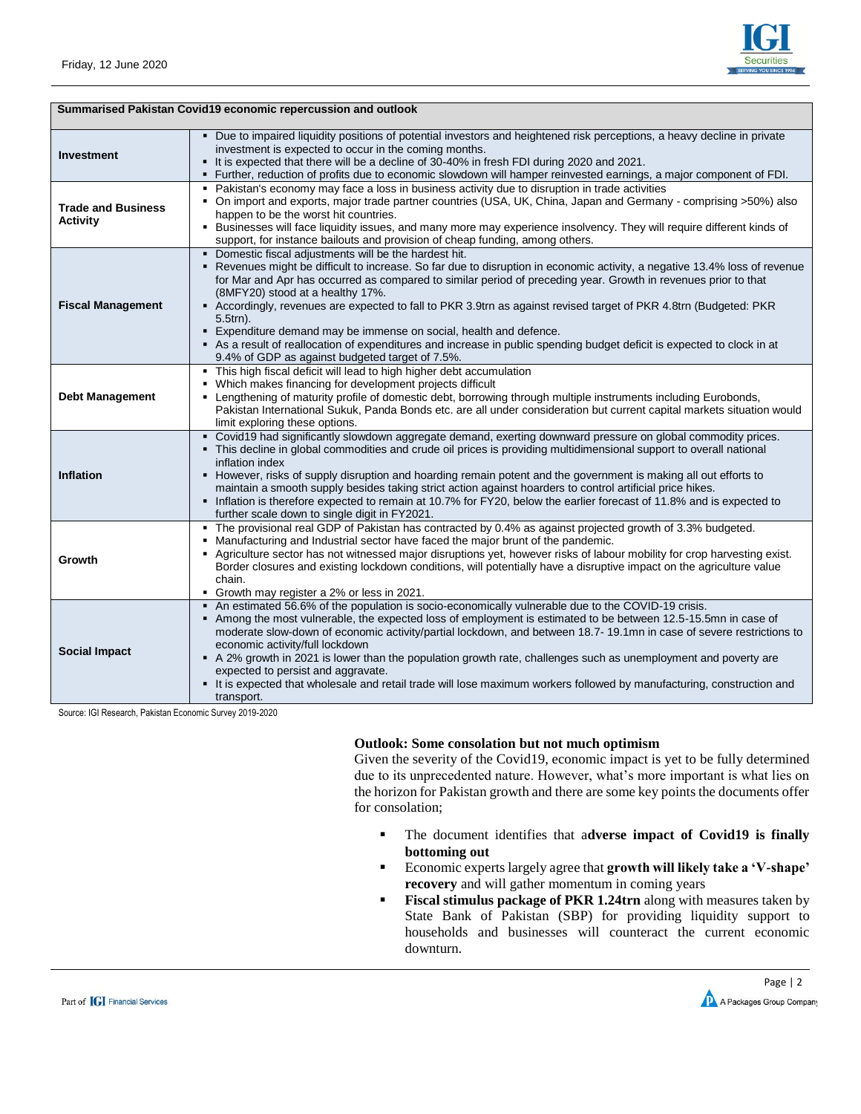

| Summarised Pakistan Covid19 economic repercussion and outlook |                                                                                                                                                                                                                                                                                                                                                                                                                                                                                                                                                                                                                                                                                                                                 |  |  |  |
|---------------------------------------------------------------|---------------------------------------------------------------------------------------------------------------------------------------------------------------------------------------------------------------------------------------------------------------------------------------------------------------------------------------------------------------------------------------------------------------------------------------------------------------------------------------------------------------------------------------------------------------------------------------------------------------------------------------------------------------------------------------------------------------------------------|--|--|--|
| <b>Investment</b>                                             | · Due to impaired liquidity positions of potential investors and heightened risk perceptions, a heavy decline in private<br>investment is expected to occur in the coming months.<br>• It is expected that there will be a decline of 30-40% in fresh FDI during 2020 and 2021.<br>. Further, reduction of profits due to economic slowdown will hamper reinvested earnings, a major component of FDI.                                                                                                                                                                                                                                                                                                                          |  |  |  |
| <b>Trade and Business</b><br><b>Activity</b>                  | • Pakistan's economy may face a loss in business activity due to disruption in trade activities<br>• On import and exports, major trade partner countries (USA, UK, China, Japan and Germany - comprising >50%) also<br>happen to be the worst hit countries.<br>• Businesses will face liquidity issues, and many more may experience insolvency. They will require different kinds of<br>support, for instance bailouts and provision of cheap funding, among others.                                                                                                                                                                                                                                                         |  |  |  |
| <b>Fiscal Management</b>                                      | • Domestic fiscal adjustments will be the hardest hit.<br>" Revenues might be difficult to increase. So far due to disruption in economic activity, a negative 13.4% loss of revenue<br>for Mar and Apr has occurred as compared to similar period of preceding year. Growth in revenues prior to that<br>(8MFY20) stood at a healthy 17%.<br>Accordingly, revenues are expected to fall to PKR 3.9trn as against revised target of PKR 4.8trn (Budgeted: PKR<br>$5.5$ trn $).$<br>Expenditure demand may be immense on social, health and defence.<br>As a result of reallocation of expenditures and increase in public spending budget deficit is expected to clock in at<br>9.4% of GDP as against budgeted target of 7.5%. |  |  |  |
| <b>Debt Management</b>                                        | . This high fiscal deficit will lead to high higher debt accumulation<br>• Which makes financing for development projects difficult<br>- Lengthening of maturity profile of domestic debt, borrowing through multiple instruments including Eurobonds,<br>Pakistan International Sukuk, Panda Bonds etc. are all under consideration but current capital markets situation would<br>limit exploring these options.                                                                                                                                                                                                                                                                                                              |  |  |  |
| <b>Inflation</b>                                              | - Covid19 had significantly slowdown aggregate demand, exerting downward pressure on global commodity prices.<br>• This decline in global commodities and crude oil prices is providing multidimensional support to overall national<br>inflation index<br>• However, risks of supply disruption and hoarding remain potent and the government is making all out efforts to<br>maintain a smooth supply besides taking strict action against hoarders to control artificial price hikes.<br>Inflation is therefore expected to remain at 10.7% for FY20, below the earlier forecast of 11.8% and is expected to<br>further scale down to single digit in FY2021.                                                                |  |  |  |
| Growth                                                        | • The provisional real GDP of Pakistan has contracted by 0.4% as against projected growth of 3.3% budgeted.<br>• Manufacturing and Industrial sector have faced the major brunt of the pandemic.<br>- Agriculture sector has not witnessed major disruptions yet, however risks of labour mobility for crop harvesting exist.<br>Border closures and existing lockdown conditions, will potentially have a disruptive impact on the agriculture value<br>chain.<br>Growth may register a 2% or less in 2021.                                                                                                                                                                                                                    |  |  |  |
| <b>Social Impact</b>                                          | An estimated 56.6% of the population is socio-economically vulnerable due to the COVID-19 crisis.<br>Among the most vulnerable, the expected loss of employment is estimated to be between 12.5-15.5mn in case of<br>moderate slow-down of economic activity/partial lockdown, and between 18.7-19.1mn in case of severe restrictions to<br>economic activity/full lockdown<br>A 2% growth in 2021 is lower than the population growth rate, challenges such as unemployment and poverty are<br>expected to persist and aggravate.<br>It is expected that wholesale and retail trade will lose maximum workers followed by manufacturing, construction and<br>transport.                                                        |  |  |  |

Source: IGI Research, Pakistan Economic Survey 2019-2020

### **Outlook: Some consolation but not much optimism**

Given the severity of the Covid19, economic impact is yet to be fully determined due to its unprecedented nature. However, what's more important is what lies on the horizon for Pakistan growth and there are some key points the documents offer for consolation;

- The document identifies that a**dverse impact of Covid19 is finally bottoming out**
- Economic experts largely agree that **growth will likely take a 'V-shape' recovery** and will gather momentum in coming years
- **Fiscal stimulus package of PKR 1.24trn** along with measures taken by State Bank of Pakistan (SBP) for providing liquidity support to households and businesses will counteract the current economic downturn.